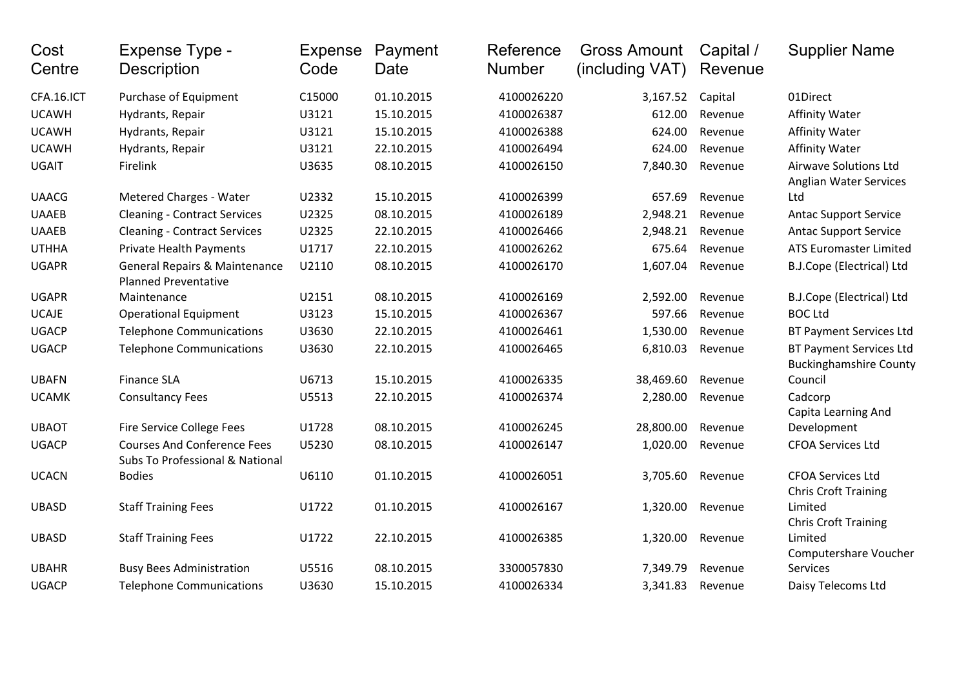| Cost<br>Centre | Expense Type -<br><b>Description</b>                                    | <b>Expense</b><br>Code | Payment<br>Date | Reference<br><b>Number</b> | <b>Gross Amount</b><br>(including VAT) | Capital /<br>Revenue | <b>Supplier Name</b>                                            |
|----------------|-------------------------------------------------------------------------|------------------------|-----------------|----------------------------|----------------------------------------|----------------------|-----------------------------------------------------------------|
| CFA.16.ICT     | Purchase of Equipment                                                   | C15000                 | 01.10.2015      | 4100026220                 | 3,167.52                               | Capital              | 01Direct                                                        |
| <b>UCAWH</b>   | Hydrants, Repair                                                        | U3121                  | 15.10.2015      | 4100026387                 | 612.00                                 | Revenue              | <b>Affinity Water</b>                                           |
| <b>UCAWH</b>   | Hydrants, Repair                                                        | U3121                  | 15.10.2015      | 4100026388                 | 624.00                                 | Revenue              | <b>Affinity Water</b>                                           |
| <b>UCAWH</b>   | Hydrants, Repair                                                        | U3121                  | 22.10.2015      | 4100026494                 | 624.00                                 | Revenue              | <b>Affinity Water</b>                                           |
| <b>UGAIT</b>   | Firelink                                                                | U3635                  | 08.10.2015      | 4100026150                 | 7,840.30                               | Revenue              | <b>Airwave Solutions Ltd</b><br><b>Anglian Water Services</b>   |
| <b>UAACG</b>   | Metered Charges - Water                                                 | U2332                  | 15.10.2015      | 4100026399                 | 657.69                                 | Revenue              | Ltd                                                             |
| <b>UAAEB</b>   | <b>Cleaning - Contract Services</b>                                     | U2325                  | 08.10.2015      | 4100026189                 | 2,948.21                               | Revenue              | <b>Antac Support Service</b>                                    |
| <b>UAAEB</b>   | <b>Cleaning - Contract Services</b>                                     | U2325                  | 22.10.2015      | 4100026466                 | 2,948.21                               | Revenue              | <b>Antac Support Service</b>                                    |
| <b>UTHHA</b>   | <b>Private Health Payments</b>                                          | U1717                  | 22.10.2015      | 4100026262                 | 675.64                                 | Revenue              | <b>ATS Euromaster Limited</b>                                   |
| <b>UGAPR</b>   | <b>General Repairs &amp; Maintenance</b><br><b>Planned Preventative</b> | U2110                  | 08.10.2015      | 4100026170                 | 1,607.04                               | Revenue              | B.J.Cope (Electrical) Ltd                                       |
| <b>UGAPR</b>   | Maintenance                                                             | U2151                  | 08.10.2015      | 4100026169                 | 2,592.00                               | Revenue              | B.J.Cope (Electrical) Ltd                                       |
| <b>UCAJE</b>   | <b>Operational Equipment</b>                                            | U3123                  | 15.10.2015      | 4100026367                 | 597.66                                 | Revenue              | <b>BOC Ltd</b>                                                  |
| <b>UGACP</b>   | <b>Telephone Communications</b>                                         | U3630                  | 22.10.2015      | 4100026461                 | 1,530.00                               | Revenue              | <b>BT Payment Services Ltd</b>                                  |
| <b>UGACP</b>   | <b>Telephone Communications</b>                                         | U3630                  | 22.10.2015      | 4100026465                 | 6,810.03                               | Revenue              | <b>BT Payment Services Ltd</b><br><b>Buckinghamshire County</b> |
| <b>UBAFN</b>   | <b>Finance SLA</b>                                                      | U6713                  | 15.10.2015      | 4100026335                 | 38,469.60                              | Revenue              | Council                                                         |
| <b>UCAMK</b>   | <b>Consultancy Fees</b>                                                 | U5513                  | 22.10.2015      | 4100026374                 | 2,280.00                               | Revenue              | Cadcorp<br>Capita Learning And                                  |
| <b>UBAOT</b>   | <b>Fire Service College Fees</b>                                        | U1728                  | 08.10.2015      | 4100026245                 | 28,800.00                              | Revenue              | Development                                                     |
| <b>UGACP</b>   | <b>Courses And Conference Fees</b><br>Subs To Professional & National   | U5230                  | 08.10.2015      | 4100026147                 | 1,020.00                               | Revenue              | <b>CFOA Services Ltd</b>                                        |
| <b>UCACN</b>   | <b>Bodies</b>                                                           | U6110                  | 01.10.2015      | 4100026051                 | 3,705.60                               | Revenue              | <b>CFOA Services Ltd</b><br><b>Chris Croft Training</b>         |
| <b>UBASD</b>   | <b>Staff Training Fees</b>                                              | U1722                  | 01.10.2015      | 4100026167                 | 1,320.00                               | Revenue              | Limited<br><b>Chris Croft Training</b>                          |
| <b>UBASD</b>   | <b>Staff Training Fees</b>                                              | U1722                  | 22.10.2015      | 4100026385                 | 1,320.00                               | Revenue              | Limited<br>Computershare Voucher                                |
| <b>UBAHR</b>   | <b>Busy Bees Administration</b>                                         | U5516                  | 08.10.2015      | 3300057830                 | 7,349.79                               | Revenue              | <b>Services</b>                                                 |
| <b>UGACP</b>   | <b>Telephone Communications</b>                                         | U3630                  | 15.10.2015      | 4100026334                 | 3,341.83                               | Revenue              | Daisy Telecoms Ltd                                              |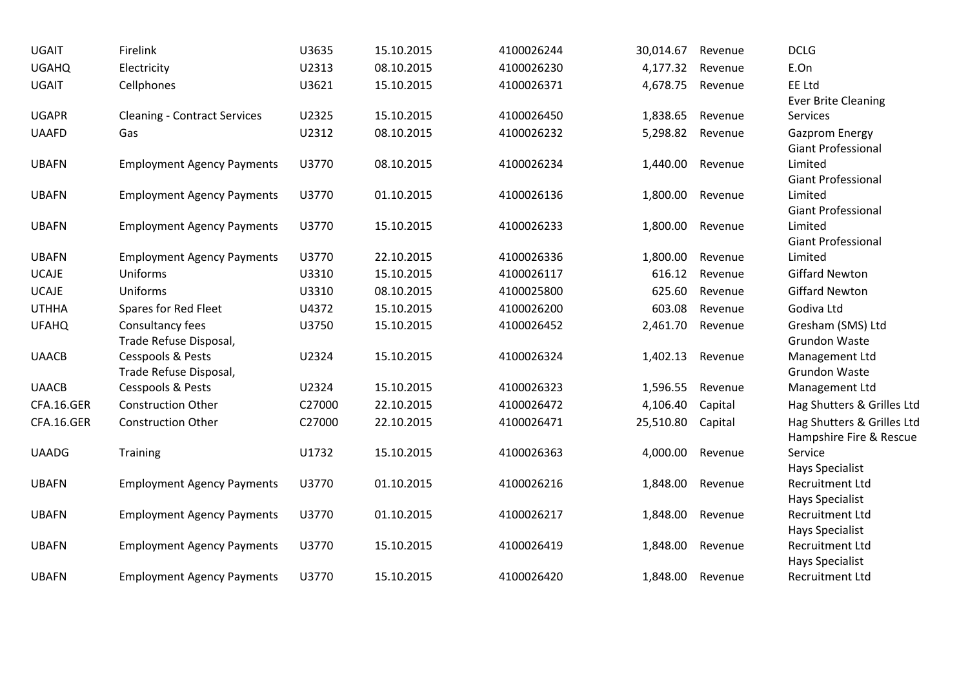| <b>UGAIT</b> | Firelink                            | U3635  | 15.10.2015 | 4100026244 | 30,014.67 | Revenue | <b>DCLG</b>                |
|--------------|-------------------------------------|--------|------------|------------|-----------|---------|----------------------------|
| <b>UGAHQ</b> | Electricity                         | U2313  | 08.10.2015 | 4100026230 | 4,177.32  | Revenue | E.On                       |
| <b>UGAIT</b> | Cellphones                          | U3621  | 15.10.2015 | 4100026371 | 4,678.75  | Revenue | EE Ltd                     |
|              |                                     |        |            |            |           |         | <b>Ever Brite Cleaning</b> |
| <b>UGAPR</b> | <b>Cleaning - Contract Services</b> | U2325  | 15.10.2015 | 4100026450 | 1,838.65  | Revenue | Services                   |
| <b>UAAFD</b> | Gas                                 | U2312  | 08.10.2015 | 4100026232 | 5,298.82  | Revenue | Gazprom Energy             |
|              |                                     |        |            |            |           |         | <b>Giant Professional</b>  |
| <b>UBAFN</b> | <b>Employment Agency Payments</b>   | U3770  | 08.10.2015 | 4100026234 | 1,440.00  | Revenue | Limited                    |
|              |                                     |        |            |            |           |         | <b>Giant Professional</b>  |
| <b>UBAFN</b> | <b>Employment Agency Payments</b>   | U3770  | 01.10.2015 | 4100026136 | 1,800.00  | Revenue | Limited                    |
|              |                                     |        |            |            |           |         | <b>Giant Professional</b>  |
| <b>UBAFN</b> | <b>Employment Agency Payments</b>   | U3770  | 15.10.2015 | 4100026233 | 1,800.00  | Revenue | Limited                    |
|              |                                     |        |            |            |           |         | <b>Giant Professional</b>  |
| <b>UBAFN</b> | <b>Employment Agency Payments</b>   | U3770  | 22.10.2015 | 4100026336 | 1,800.00  | Revenue | Limited                    |
| <b>UCAJE</b> | Uniforms                            | U3310  | 15.10.2015 | 4100026117 | 616.12    | Revenue | <b>Giffard Newton</b>      |
| <b>UCAJE</b> | Uniforms                            | U3310  | 08.10.2015 | 4100025800 | 625.60    | Revenue | <b>Giffard Newton</b>      |
| <b>UTHHA</b> | Spares for Red Fleet                | U4372  | 15.10.2015 | 4100026200 | 603.08    | Revenue | Godiva Ltd                 |
| <b>UFAHQ</b> | Consultancy fees                    | U3750  | 15.10.2015 | 4100026452 | 2,461.70  | Revenue | Gresham (SMS) Ltd          |
|              | Trade Refuse Disposal,              |        |            |            |           |         | Grundon Waste              |
| <b>UAACB</b> | Cesspools & Pests                   | U2324  | 15.10.2015 | 4100026324 | 1,402.13  | Revenue | Management Ltd             |
|              | Trade Refuse Disposal,              |        |            |            |           |         | Grundon Waste              |
| <b>UAACB</b> | Cesspools & Pests                   | U2324  | 15.10.2015 | 4100026323 | 1,596.55  | Revenue | Management Ltd             |
| CFA.16.GER   | <b>Construction Other</b>           | C27000 | 22.10.2015 | 4100026472 | 4,106.40  | Capital | Hag Shutters & Grilles Ltd |
| CFA.16.GER   | <b>Construction Other</b>           | C27000 | 22.10.2015 | 4100026471 | 25,510.80 | Capital | Hag Shutters & Grilles Ltd |
|              |                                     |        |            |            |           |         | Hampshire Fire & Rescue    |
| <b>UAADG</b> | Training                            | U1732  | 15.10.2015 | 4100026363 | 4,000.00  | Revenue | Service                    |
|              |                                     |        |            |            |           |         | <b>Hays Specialist</b>     |
| <b>UBAFN</b> | <b>Employment Agency Payments</b>   | U3770  | 01.10.2015 | 4100026216 | 1,848.00  | Revenue | <b>Recruitment Ltd</b>     |
|              |                                     |        |            |            |           |         | <b>Hays Specialist</b>     |
| <b>UBAFN</b> | <b>Employment Agency Payments</b>   | U3770  | 01.10.2015 | 4100026217 | 1,848.00  | Revenue | <b>Recruitment Ltd</b>     |
|              |                                     |        |            |            |           |         | <b>Hays Specialist</b>     |
| <b>UBAFN</b> | <b>Employment Agency Payments</b>   | U3770  | 15.10.2015 | 4100026419 | 1,848.00  | Revenue | <b>Recruitment Ltd</b>     |
|              |                                     |        |            |            |           |         | <b>Hays Specialist</b>     |
| <b>UBAFN</b> | <b>Employment Agency Payments</b>   | U3770  | 15.10.2015 | 4100026420 | 1,848.00  | Revenue | <b>Recruitment Ltd</b>     |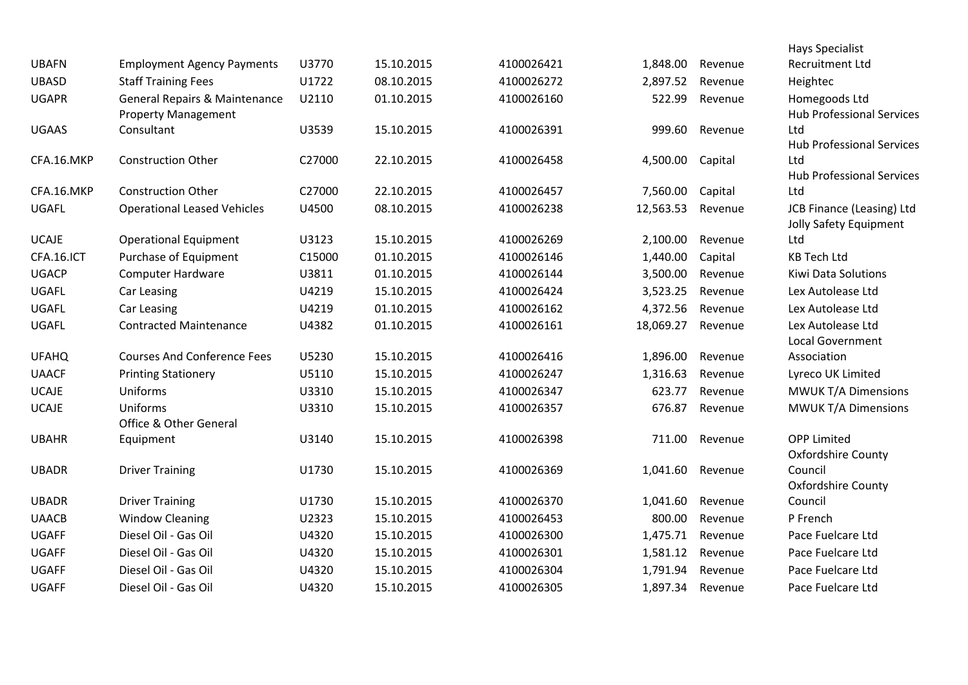|              |                                          |        |            |            |           |         | <b>Hays Specialist</b>                              |
|--------------|------------------------------------------|--------|------------|------------|-----------|---------|-----------------------------------------------------|
| <b>UBAFN</b> | <b>Employment Agency Payments</b>        | U3770  | 15.10.2015 | 4100026421 | 1,848.00  | Revenue | <b>Recruitment Ltd</b>                              |
| <b>UBASD</b> | <b>Staff Training Fees</b>               | U1722  | 08.10.2015 | 4100026272 | 2,897.52  | Revenue | Heightec                                            |
| <b>UGAPR</b> | <b>General Repairs &amp; Maintenance</b> | U2110  | 01.10.2015 | 4100026160 | 522.99    | Revenue | Homegoods Ltd                                       |
|              | <b>Property Management</b>               |        |            |            |           |         | <b>Hub Professional Services</b>                    |
| <b>UGAAS</b> | Consultant                               | U3539  | 15.10.2015 | 4100026391 | 999.60    | Revenue | Ltd                                                 |
|              |                                          |        |            |            |           |         | <b>Hub Professional Services</b>                    |
| CFA.16.MKP   | <b>Construction Other</b>                | C27000 | 22.10.2015 | 4100026458 | 4,500.00  | Capital | Ltd                                                 |
|              |                                          |        |            |            |           |         | <b>Hub Professional Services</b>                    |
| CFA.16.MKP   | <b>Construction Other</b>                | C27000 | 22.10.2015 | 4100026457 | 7,560.00  | Capital | Ltd                                                 |
| <b>UGAFL</b> | <b>Operational Leased Vehicles</b>       | U4500  | 08.10.2015 | 4100026238 | 12,563.53 | Revenue | JCB Finance (Leasing) Ltd<br>Jolly Safety Equipment |
| <b>UCAJE</b> | <b>Operational Equipment</b>             | U3123  | 15.10.2015 | 4100026269 | 2,100.00  | Revenue | Ltd                                                 |
| CFA.16.ICT   | Purchase of Equipment                    | C15000 | 01.10.2015 | 4100026146 | 1,440.00  | Capital | <b>KB Tech Ltd</b>                                  |
| <b>UGACP</b> | <b>Computer Hardware</b>                 | U3811  | 01.10.2015 | 4100026144 | 3,500.00  | Revenue | Kiwi Data Solutions                                 |
| <b>UGAFL</b> | Car Leasing                              | U4219  | 15.10.2015 | 4100026424 | 3,523.25  | Revenue | Lex Autolease Ltd                                   |
| UGAFL        | Car Leasing                              | U4219  | 01.10.2015 | 4100026162 | 4,372.56  | Revenue | Lex Autolease Ltd                                   |
| UGAFL        | <b>Contracted Maintenance</b>            | U4382  | 01.10.2015 | 4100026161 | 18,069.27 | Revenue | Lex Autolease Ltd                                   |
|              |                                          |        |            |            |           |         | <b>Local Government</b>                             |
| <b>UFAHQ</b> | <b>Courses And Conference Fees</b>       | U5230  | 15.10.2015 | 4100026416 | 1,896.00  | Revenue | Association                                         |
| <b>UAACF</b> | <b>Printing Stationery</b>               | U5110  | 15.10.2015 | 4100026247 | 1,316.63  | Revenue | Lyreco UK Limited                                   |
| <b>UCAJE</b> | Uniforms                                 | U3310  | 15.10.2015 | 4100026347 | 623.77    | Revenue | <b>MWUK T/A Dimensions</b>                          |
| <b>UCAJE</b> | Uniforms                                 | U3310  | 15.10.2015 | 4100026357 | 676.87    | Revenue | <b>MWUK T/A Dimensions</b>                          |
|              | Office & Other General                   |        |            |            |           |         |                                                     |
| <b>UBAHR</b> | Equipment                                | U3140  | 15.10.2015 | 4100026398 | 711.00    | Revenue | <b>OPP Limited</b>                                  |
|              |                                          |        |            |            |           |         | <b>Oxfordshire County</b>                           |
| <b>UBADR</b> | <b>Driver Training</b>                   | U1730  | 15.10.2015 | 4100026369 | 1,041.60  | Revenue | Council                                             |
|              |                                          |        |            |            |           |         | Oxfordshire County                                  |
| <b>UBADR</b> | <b>Driver Training</b>                   | U1730  | 15.10.2015 | 4100026370 | 1,041.60  | Revenue | Council                                             |
| <b>UAACB</b> | <b>Window Cleaning</b>                   | U2323  | 15.10.2015 | 4100026453 | 800.00    | Revenue | P French                                            |
| <b>UGAFF</b> | Diesel Oil - Gas Oil                     | U4320  | 15.10.2015 | 4100026300 | 1,475.71  | Revenue | Pace Fuelcare Ltd                                   |
| <b>UGAFF</b> | Diesel Oil - Gas Oil                     | U4320  | 15.10.2015 | 4100026301 | 1,581.12  | Revenue | Pace Fuelcare Ltd                                   |
| <b>UGAFF</b> | Diesel Oil - Gas Oil                     | U4320  | 15.10.2015 | 4100026304 | 1,791.94  | Revenue | Pace Fuelcare Ltd                                   |
| <b>UGAFF</b> | Diesel Oil - Gas Oil                     | U4320  | 15.10.2015 | 4100026305 | 1,897.34  | Revenue | Pace Fuelcare Ltd                                   |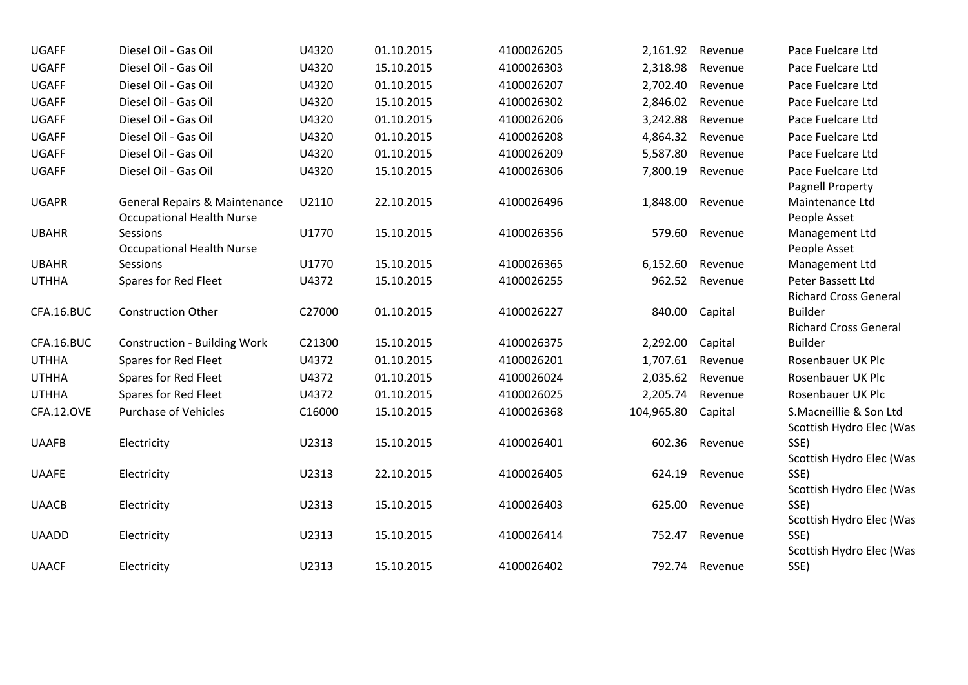| <b>UGAFF</b> | Diesel Oil - Gas Oil                                                         | U4320  | 01.10.2015 | 4100026205 | 2,161.92   | Revenue | Pace Fuelcare Ltd                                  |
|--------------|------------------------------------------------------------------------------|--------|------------|------------|------------|---------|----------------------------------------------------|
| <b>UGAFF</b> | Diesel Oil - Gas Oil                                                         | U4320  | 15.10.2015 | 4100026303 | 2,318.98   | Revenue | Pace Fuelcare Ltd                                  |
| <b>UGAFF</b> | Diesel Oil - Gas Oil                                                         | U4320  | 01.10.2015 | 4100026207 | 2,702.40   | Revenue | Pace Fuelcare Ltd                                  |
| <b>UGAFF</b> | Diesel Oil - Gas Oil                                                         | U4320  | 15.10.2015 | 4100026302 | 2,846.02   | Revenue | Pace Fuelcare Ltd                                  |
| <b>UGAFF</b> | Diesel Oil - Gas Oil                                                         | U4320  | 01.10.2015 | 4100026206 | 3,242.88   | Revenue | Pace Fuelcare Ltd                                  |
| <b>UGAFF</b> | Diesel Oil - Gas Oil                                                         | U4320  | 01.10.2015 | 4100026208 | 4,864.32   | Revenue | Pace Fuelcare Ltd                                  |
| <b>UGAFF</b> | Diesel Oil - Gas Oil                                                         | U4320  | 01.10.2015 | 4100026209 | 5,587.80   | Revenue | Pace Fuelcare Ltd                                  |
| <b>UGAFF</b> | Diesel Oil - Gas Oil                                                         | U4320  | 15.10.2015 | 4100026306 | 7,800.19   | Revenue | Pace Fuelcare Ltd<br>Pagnell Property              |
| <b>UGAPR</b> | <b>General Repairs &amp; Maintenance</b><br><b>Occupational Health Nurse</b> | U2110  | 22.10.2015 | 4100026496 | 1,848.00   | Revenue | Maintenance Ltd<br>People Asset                    |
| <b>UBAHR</b> | Sessions<br><b>Occupational Health Nurse</b>                                 | U1770  | 15.10.2015 | 4100026356 | 579.60     | Revenue | Management Ltd<br>People Asset                     |
| <b>UBAHR</b> | Sessions                                                                     | U1770  | 15.10.2015 | 4100026365 | 6,152.60   | Revenue | Management Ltd                                     |
| <b>UTHHA</b> | Spares for Red Fleet                                                         | U4372  | 15.10.2015 | 4100026255 | 962.52     | Revenue | Peter Bassett Ltd<br><b>Richard Cross General</b>  |
| CFA.16.BUC   | <b>Construction Other</b>                                                    | C27000 | 01.10.2015 | 4100026227 | 840.00     | Capital | <b>Builder</b><br><b>Richard Cross General</b>     |
| CFA.16.BUC   | <b>Construction - Building Work</b>                                          | C21300 | 15.10.2015 | 4100026375 | 2,292.00   | Capital | <b>Builder</b>                                     |
| <b>UTHHA</b> | Spares for Red Fleet                                                         | U4372  | 01.10.2015 | 4100026201 | 1,707.61   | Revenue | Rosenbauer UK Plc                                  |
| <b>UTHHA</b> | Spares for Red Fleet                                                         | U4372  | 01.10.2015 | 4100026024 | 2,035.62   | Revenue | Rosenbauer UK Plc                                  |
| <b>UTHHA</b> | Spares for Red Fleet                                                         | U4372  | 01.10.2015 | 4100026025 | 2,205.74   | Revenue | Rosenbauer UK Plc                                  |
| CFA.12.OVE   | <b>Purchase of Vehicles</b>                                                  | C16000 | 15.10.2015 | 4100026368 | 104,965.80 | Capital | S.Macneillie & Son Ltd<br>Scottish Hydro Elec (Was |
| <b>UAAFB</b> | Electricity                                                                  | U2313  | 15.10.2015 | 4100026401 | 602.36     | Revenue | SSE)<br>Scottish Hydro Elec (Was                   |
| <b>UAAFE</b> | Electricity                                                                  | U2313  | 22.10.2015 | 4100026405 | 624.19     | Revenue | SSE)<br>Scottish Hydro Elec (Was                   |
| <b>UAACB</b> | Electricity                                                                  | U2313  | 15.10.2015 | 4100026403 | 625.00     | Revenue | SSE)                                               |
| <b>UAADD</b> | Electricity                                                                  | U2313  | 15.10.2015 | 4100026414 | 752.47     | Revenue | Scottish Hydro Elec (Was<br>SSE)                   |
| <b>UAACF</b> | Electricity                                                                  | U2313  | 15.10.2015 | 4100026402 | 792.74     | Revenue | Scottish Hydro Elec (Was<br>SSE)                   |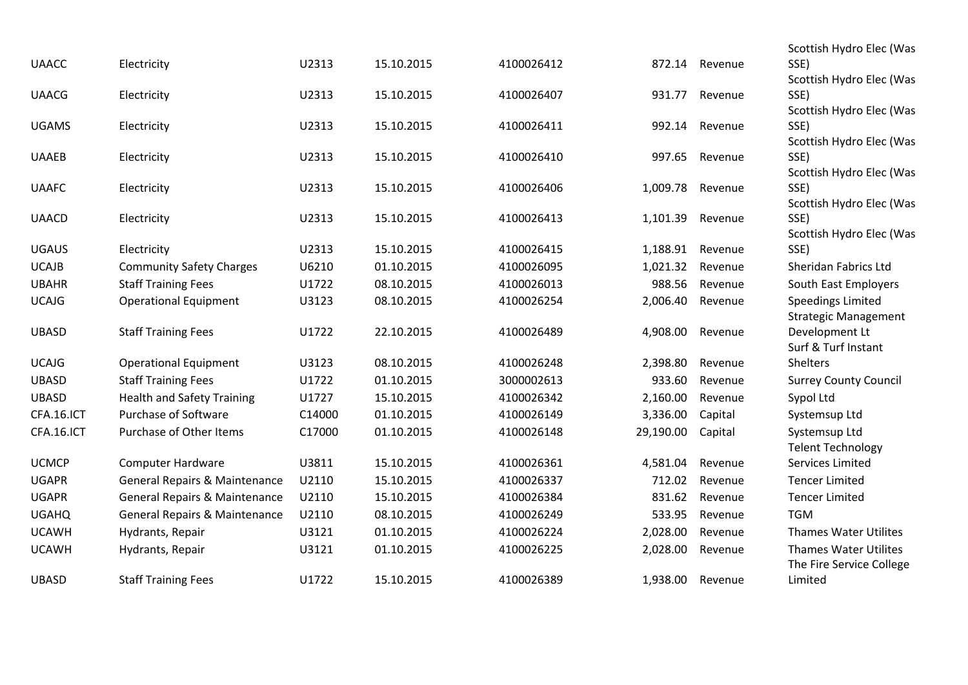| <b>UAACC</b> | Electricity                              | U2313  | 15.10.2015 | 4100026412 | 872.14    | Revenue | Scottish Hydro Elec (Was<br>SSE)                        |
|--------------|------------------------------------------|--------|------------|------------|-----------|---------|---------------------------------------------------------|
|              |                                          |        |            |            |           |         | Scottish Hydro Elec (Was                                |
| <b>UAACG</b> | Electricity                              | U2313  | 15.10.2015 | 4100026407 | 931.77    | Revenue | SSE)                                                    |
|              |                                          |        |            |            |           |         | Scottish Hydro Elec (Was                                |
| <b>UGAMS</b> | Electricity                              | U2313  | 15.10.2015 | 4100026411 | 992.14    | Revenue | SSE)                                                    |
|              |                                          |        |            |            |           |         | Scottish Hydro Elec (Was                                |
| <b>UAAEB</b> | Electricity                              | U2313  | 15.10.2015 | 4100026410 | 997.65    | Revenue | SSE)                                                    |
|              |                                          |        |            |            |           |         | Scottish Hydro Elec (Was                                |
| <b>UAAFC</b> | Electricity                              | U2313  | 15.10.2015 | 4100026406 | 1,009.78  | Revenue | SSE)                                                    |
|              |                                          |        |            |            |           |         | Scottish Hydro Elec (Was                                |
| <b>UAACD</b> | Electricity                              | U2313  | 15.10.2015 | 4100026413 | 1,101.39  | Revenue | SSE)                                                    |
| <b>UGAUS</b> | Electricity                              | U2313  | 15.10.2015 | 4100026415 | 1,188.91  | Revenue | Scottish Hydro Elec (Was<br>SSE)                        |
| <b>UCAJB</b> |                                          | U6210  | 01.10.2015 | 4100026095 | 1,021.32  | Revenue | Sheridan Fabrics Ltd                                    |
|              | <b>Community Safety Charges</b>          | U1722  |            |            | 988.56    |         |                                                         |
| <b>UBAHR</b> | <b>Staff Training Fees</b>               |        | 08.10.2015 | 4100026013 |           | Revenue | South East Employers                                    |
| <b>UCAJG</b> | <b>Operational Equipment</b>             | U3123  | 08.10.2015 | 4100026254 | 2,006.40  | Revenue | <b>Speedings Limited</b><br><b>Strategic Management</b> |
| <b>UBASD</b> | <b>Staff Training Fees</b>               | U1722  | 22.10.2015 | 4100026489 | 4,908.00  | Revenue | Development Lt                                          |
|              |                                          |        |            |            |           |         | Surf & Turf Instant                                     |
| <b>UCAJG</b> | <b>Operational Equipment</b>             | U3123  | 08.10.2015 | 4100026248 | 2,398.80  | Revenue | Shelters                                                |
| <b>UBASD</b> | <b>Staff Training Fees</b>               | U1722  | 01.10.2015 | 3000002613 | 933.60    | Revenue | <b>Surrey County Council</b>                            |
| <b>UBASD</b> | <b>Health and Safety Training</b>        | U1727  | 15.10.2015 | 4100026342 | 2,160.00  | Revenue | Sypol Ltd                                               |
| CFA.16.ICT   | Purchase of Software                     | C14000 | 01.10.2015 | 4100026149 | 3,336.00  | Capital | Systemsup Ltd                                           |
| CFA.16.ICT   | Purchase of Other Items                  | C17000 | 01.10.2015 | 4100026148 | 29,190.00 | Capital | Systemsup Ltd                                           |
|              |                                          |        |            |            |           |         | <b>Telent Technology</b>                                |
| <b>UCMCP</b> | <b>Computer Hardware</b>                 | U3811  | 15.10.2015 | 4100026361 | 4,581.04  | Revenue | Services Limited                                        |
| <b>UGAPR</b> | <b>General Repairs &amp; Maintenance</b> | U2110  | 15.10.2015 | 4100026337 | 712.02    | Revenue | <b>Tencer Limited</b>                                   |
| <b>UGAPR</b> | <b>General Repairs &amp; Maintenance</b> | U2110  | 15.10.2015 | 4100026384 | 831.62    | Revenue | <b>Tencer Limited</b>                                   |
| <b>UGAHQ</b> | <b>General Repairs &amp; Maintenance</b> | U2110  | 08.10.2015 | 4100026249 | 533.95    | Revenue | <b>TGM</b>                                              |
| <b>UCAWH</b> | Hydrants, Repair                         | U3121  | 01.10.2015 | 4100026224 | 2,028.00  | Revenue | <b>Thames Water Utilites</b>                            |
| <b>UCAWH</b> | Hydrants, Repair                         | U3121  | 01.10.2015 | 4100026225 | 2,028.00  | Revenue | <b>Thames Water Utilites</b>                            |
|              |                                          |        |            |            |           |         | The Fire Service College                                |
| <b>UBASD</b> | <b>Staff Training Fees</b>               | U1722  | 15.10.2015 | 4100026389 | 1,938.00  | Revenue | Limited                                                 |
|              |                                          |        |            |            |           |         |                                                         |